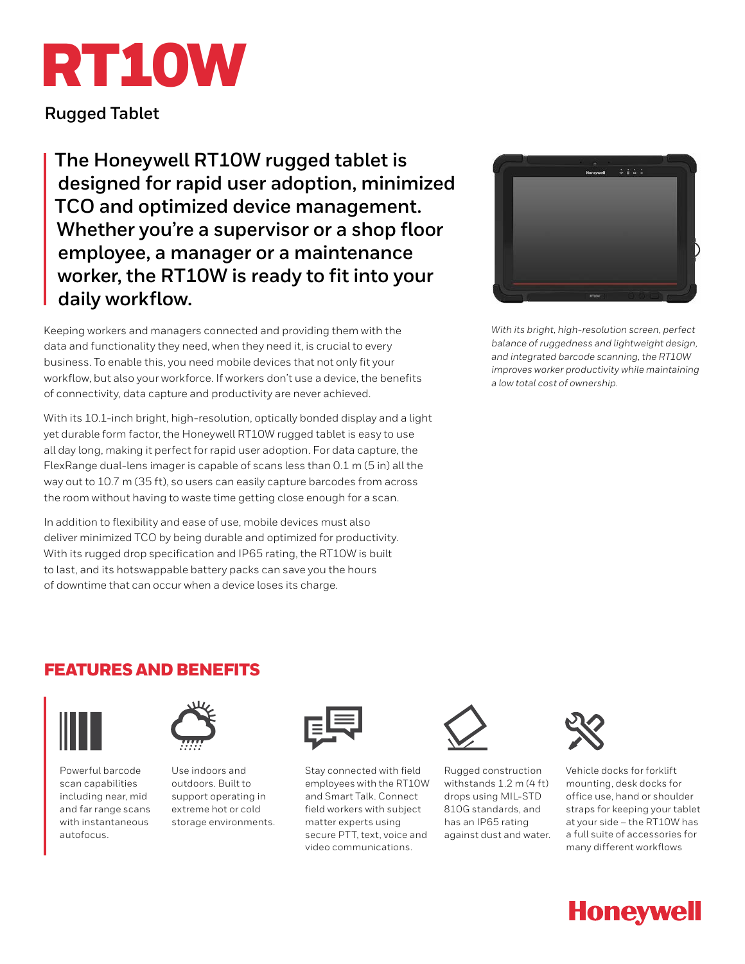# RT10W

**Rugged Tablet**

**The Honeywell RT10W rugged tablet is designed for rapid user adoption, minimized TCO and optimized device management. Whether you're a supervisor or a shop floor employee, a manager or a maintenance worker, the RT10W is ready to fit into your daily workflow.**

Keeping workers and managers connected and providing them with the data and functionality they need, when they need it, is crucial to every business. To enable this, you need mobile devices that not only fit your workflow, but also your workforce. If workers don't use a device, the benefits of connectivity, data capture and productivity are never achieved.

With its 10.1-inch bright, high-resolution, optically bonded display and a light yet durable form factor, the Honeywell RT10W rugged tablet is easy to use all day long, making it perfect for rapid user adoption. For data capture, the FlexRange dual-lens imager is capable of scans less than 0.1 m (5 in) all the way out to 10.7 m (35 ft), so users can easily capture barcodes from across the room without having to waste time getting close enough for a scan.

In addition to flexibility and ease of use, mobile devices must also deliver minimized TCO by being durable and optimized for productivity. With its rugged drop specification and IP65 rating, the RT10W is built to last, and its hotswappable battery packs can save you the hours of downtime that can occur when a device loses its charge.

| Hungwell      | ö |  |
|---------------|---|--|
|               |   |  |
|               |   |  |
|               |   |  |
|               |   |  |
|               |   |  |
|               |   |  |
|               |   |  |
|               |   |  |
|               |   |  |
|               |   |  |
|               |   |  |
| <b>STICUI</b> |   |  |

*With its bright, high-resolution screen, perfect balance of ruggedness and lightweight design, and integrated barcode scanning, the RT10W improves worker productivity while maintaining a low total cost of ownership.*

## FEATURES AND BENEFITS



Powerful barcode scan capabilities including near, mid and far range scans with instantaneous autofocus.



Use indoors and outdoors. Built to support operating in extreme hot or cold storage environments.



Stay connected with field employees with the RT10W and Smart Talk. Connect field workers with subject matter experts using secure PTT, text, voice and video communications.



Rugged construction withstands 1.2 m (4 ft) drops using MIL-STD 810G standards, and has an IP65 rating against dust and water.



Vehicle docks for forklift mounting, desk docks for office use, hand or shoulder straps for keeping your tablet at your side – the RT10W has a full suite of accessories for many different workflows